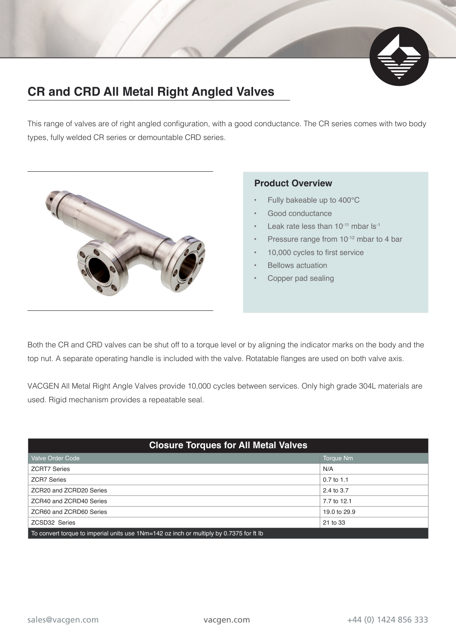

## **CR and CRD All Metal Right Angled Valves**

This range of valves are of right angled configuration, with a good conductance. The CR series comes with two body types, fully welded CR series or demountable CRD series.



## **Product Overview**

- Fully bakeable up to 400°C
- Good conductance
- Leak rate less than  $10^{-11}$  mbar ls<sup>-1</sup>
- Pressure range from 10<sup>-12</sup> mbar to 4 bar
- 10,000 cycles to first service
- Bellows actuation
- Copper pad sealing

Both the CR and CRD valves can be shut off to a torque level or by aligning the indicator marks on the body and the top nut. A separate operating handle is included with the valve. Rotatable flanges are used on both valve axis.

VACGEN All Metal Right Angle Valves provide 10,000 cycles between services. Only high grade 304L materials are used. Rigid mechanism provides a repeatable seal.

| <b>Closure Torques for All Metal Valves</b>                                             |              |  |  |  |  |  |  |  |
|-----------------------------------------------------------------------------------------|--------------|--|--|--|--|--|--|--|
| <b>Valve Order Code</b>                                                                 | Torque Nm    |  |  |  |  |  |  |  |
| <b>ZCRT7 Series</b>                                                                     | N/A          |  |  |  |  |  |  |  |
| <b>ZCR7 Series</b>                                                                      | $0.7$ to 1.1 |  |  |  |  |  |  |  |
| ZCR20 and ZCRD20 Series                                                                 | 2.4 to 3.7   |  |  |  |  |  |  |  |
| ZCR40 and ZCRD40 Series                                                                 | 7.7 to 12.1  |  |  |  |  |  |  |  |
| ZCR60 and ZCRD60 Series                                                                 | 19.0 to 29.9 |  |  |  |  |  |  |  |
| <b>ZCSD32 Series</b>                                                                    | 21 to 33     |  |  |  |  |  |  |  |
| To convert torque to imperial units use 1Nm=142 oz inch or multiply by 0.7375 for ft lb |              |  |  |  |  |  |  |  |